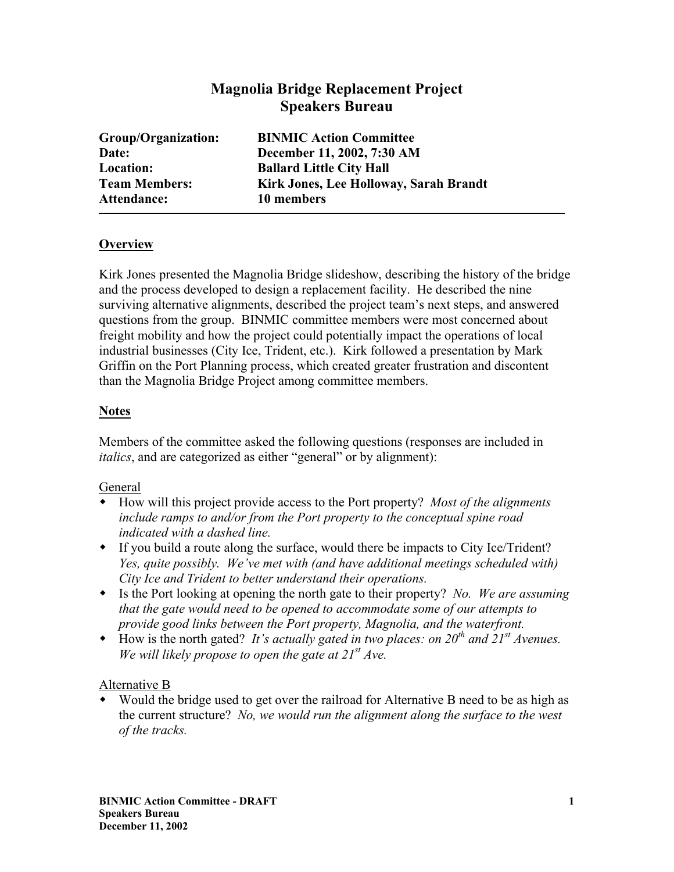# **Magnolia Bridge Replacement Project Speakers Bureau**

| Group/Organization:  | <b>BINMIC Action Committee</b>         |
|----------------------|----------------------------------------|
| Date:                | December 11, 2002, 7:30 AM             |
| Location:            | <b>Ballard Little City Hall</b>        |
| <b>Team Members:</b> | Kirk Jones, Lee Holloway, Sarah Brandt |
| <b>Attendance:</b>   | 10 members                             |
|                      |                                        |

### **Overview**

Kirk Jones presented the Magnolia Bridge slideshow, describing the history of the bridge and the process developed to design a replacement facility. He described the nine surviving alternative alignments, described the project team's next steps, and answered questions from the group. BINMIC committee members were most concerned about freight mobility and how the project could potentially impact the operations of local industrial businesses (City Ice, Trident, etc.). Kirk followed a presentation by Mark Griffin on the Port Planning process, which created greater frustration and discontent than the Magnolia Bridge Project among committee members.

### **Notes**

Members of the committee asked the following questions (responses are included in *italics*, and are categorized as either "general" or by alignment):

#### General

- How will this project provide access to the Port property? *Most of the alignments include ramps to and/or from the Port property to the conceptual spine road indicated with a dashed line.*
- If you build a route along the surface, would there be impacts to City Ice/Trident? *Yes, quite possibly. We've met with (and have additional meetings scheduled with) City Ice and Trident to better understand their operations.*
- Is the Port looking at opening the north gate to their property? *No. We are assuming that the gate would need to be opened to accommodate some of our attempts to provide good links between the Port property, Magnolia, and the waterfront.*
- How is the north gated? *It's actually gated in two places: on 20th and 21st Avenues. We will likely propose to open the gate at 21st Ave.*

#### Alternative B

 Would the bridge used to get over the railroad for Alternative B need to be as high as the current structure? *No, we would run the alignment along the surface to the west of the tracks.*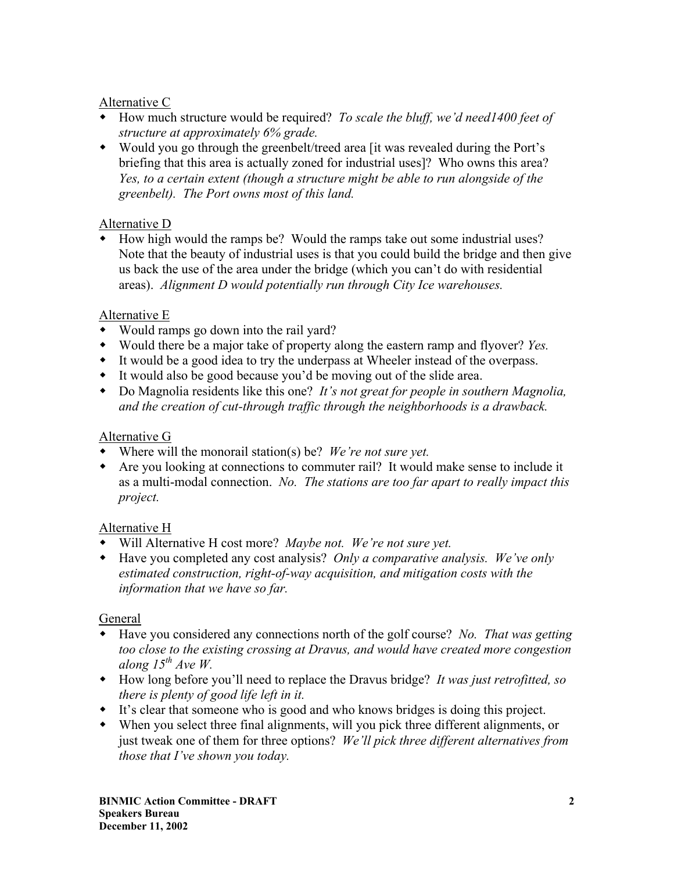## Alternative C

- How much structure would be required? *To scale the bluff, we'd need1400 feet of structure at approximately 6% grade.*
- Would you go through the greenbelt/treed area [it was revealed during the Port's briefing that this area is actually zoned for industrial uses]? Who owns this area? *Yes, to a certain extent (though a structure might be able to run alongside of the greenbelt). The Port owns most of this land.*

# Alternative D

 How high would the ramps be? Would the ramps take out some industrial uses? Note that the beauty of industrial uses is that you could build the bridge and then give us back the use of the area under the bridge (which you can't do with residential areas). *Alignment D would potentially run through City Ice warehouses.* 

### Alternative E

- Would ramps go down into the rail yard?
- Would there be a major take of property along the eastern ramp and flyover? *Yes.*
- It would be a good idea to try the underpass at Wheeler instead of the overpass.
- It would also be good because you'd be moving out of the slide area.
- Do Magnolia residents like this one? *It's not great for people in southern Magnolia, and the creation of cut-through traffic through the neighborhoods is a drawback.*

# Alternative G

- Where will the monorail station(s) be? *We're not sure yet.*
- Are you looking at connections to commuter rail? It would make sense to include it as a multi-modal connection. *No. The stations are too far apart to really impact this project.*

# Alternative H

- Will Alternative H cost more? *Maybe not. We're not sure yet.*
- Have you completed any cost analysis? *Only a comparative analysis. We've only estimated construction, right-of-way acquisition, and mitigation costs with the information that we have so far.*

# General

- Have you considered any connections north of the golf course? *No. That was getting too close to the existing crossing at Dravus, and would have created more congestion along 15th Ave W.*
- How long before you'll need to replace the Dravus bridge? *It was just retrofitted, so there is plenty of good life left in it.*
- It's clear that someone who is good and who knows bridges is doing this project.
- When you select three final alignments, will you pick three different alignments, or just tweak one of them for three options? *We'll pick three different alternatives from those that I've shown you today.*